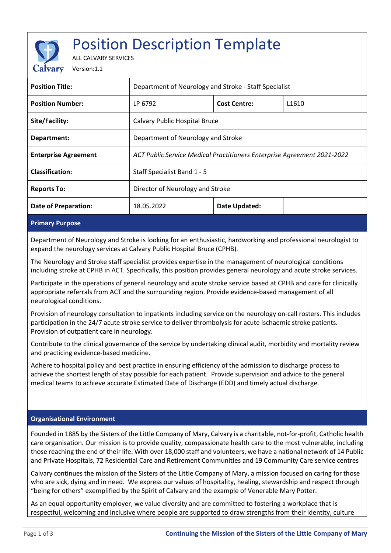# Position Description Template

ALL CALVARY SERVICES

Version:1.1

| <b>Position Title:</b>      | Department of Neurology and Stroke - Staff Specialist                   |                     |                   |
|-----------------------------|-------------------------------------------------------------------------|---------------------|-------------------|
| <b>Position Number:</b>     | LP 6792                                                                 | <b>Cost Centre:</b> | L <sub>1610</sub> |
| Site/Facility:              | Calvary Public Hospital Bruce                                           |                     |                   |
| Department:                 | Department of Neurology and Stroke                                      |                     |                   |
| <b>Enterprise Agreement</b> | ACT Public Service Medical Practitioners Enterprise Agreement 2021-2022 |                     |                   |
| <b>Classification:</b>      | Staff Specialist Band 1 - 5                                             |                     |                   |
| <b>Reports To:</b>          | Director of Neurology and Stroke                                        |                     |                   |
| <b>Date of Preparation:</b> | 18.05.2022                                                              | Date Updated:       |                   |
|                             |                                                                         |                     |                   |

#### **Primary Purpose**

Department of Neurology and Stroke is looking for an enthusiastic, hardworking and professional neurologist to expand the neurology services at Calvary Public Hospital Bruce (CPHB).

The Neurology and Stroke staff specialist provides expertise in the management of neurological conditions including stroke at CPHB in ACT. Specifically, this position provides general neurology and acute stroke services.

Participate in the operations of general neurology and acute stroke service based at CPHB and care for clinically appropriate referrals from ACT and the surrounding region. Provide evidence-based management of all neurological conditions.

Provision of neurology consultation to inpatients including service on the neurology on-call rosters. This includes participation in the 24/7 acute stroke service to deliver thrombolysis for acute ischaemic stroke patients. Provision of outpatient care in neurology.

Contribute to the clinical governance of the service by undertaking clinical audit, morbidity and mortality review and practicing evidence-based medicine.

Adhere to hospital policy and best practice in ensuring efficiency of the admission to discharge process to achieve the shortest length of stay possible for each patient. Provide supervision and advice to the general medical teams to achieve accurate Estimated Date of Discharge (EDD) and timely actual discharge.

#### **Organisational Environment**

Founded in 1885 by the Sisters of the Little Company of Mary, Calvary is a charitable, not-for-profit, Catholic health care organisation. Our mission is to provide quality, compassionate health care to the most vulnerable, including those reaching the end of their life. With over 18,000 staff and volunteers, we have a national network of 14 Public and Private Hospitals, 72 Residential Care and Retirement Communities and 19 Community Care service centres

Calvary continues the mission of the Sisters of the Little Company of Mary, a mission focused on caring for those who are sick, dying and in need. We express our values of hospitality, healing, stewardship and respect through "being for others" exemplified by the Spirit of Calvary and the example of Venerable Mary Potter.

As an equal opportunity employer, we value diversity and are committed to fostering a workplace that is respectful, welcoming and inclusive where people are supported to draw strengths from their identity, culture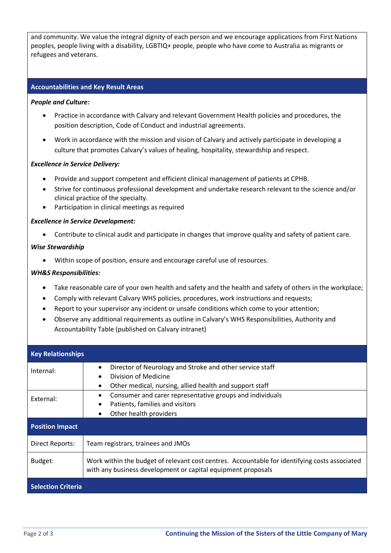and community. We value the integral dignity of each person and we encourage applications from First Nations peoples, people living with a disability, LGBTIQ+ people, people who have come to Australia as migrants or refugees and veterans.

#### **Accountabilities and Key Result Areas**

#### *People and Culture:*

- Practice in accordance with Calvary and relevant Government Health policies and procedures, the position description, Code of Conduct and industrial agreements.
- Work in accordance with the mission and vision of Calvary and actively participate in developing a culture that promotes Calvary's values of healing, hospitality, stewardship and respect.

#### *Excellence in Service Delivery:*

- Provide and support competent and efficient clinical management of patients at CPHB.
- Strive for continuous professional development and undertake research relevant to the science and/or clinical practice of the specialty.
- Participation in clinical meetings as required

#### *Excellence in Service Development:*

• Contribute to clinical audit and participate in changes that improve quality and safety of patient care.

#### *Wise Stewardship*

• Within scope of position, ensure and encourage careful use of resources.

#### *WH&S Responsibilities:*

- Take reasonable care of your own health and safety and the health and safety of others in the workplace;
- Comply with relevant Calvary WHS policies, procedures, work instructions and requests;
- Report to your supervisor any incident or unsafe conditions which come to your attention;
- Observe any additional requirements as outline in Calvary's WHS Responsibilities, Authority and Accountability Table (published on Calvary intranet)

| <b>Key Relationships</b>  |                                                                                                                                                               |  |
|---------------------------|---------------------------------------------------------------------------------------------------------------------------------------------------------------|--|
| Internal:                 | Director of Neurology and Stroke and other service staff<br>Division of Medicine<br>Other medical, nursing, allied health and support staff                   |  |
| External:                 | Consumer and carer representative groups and individuals<br>Patients, families and visitors<br>Other health providers                                         |  |
| <b>Position Impact</b>    |                                                                                                                                                               |  |
| Direct Reports:           | Team registrars, trainees and JMOs                                                                                                                            |  |
| Budget:                   | Work within the budget of relevant cost centres. Accountable for identifying costs associated<br>with any business development or capital equipment proposals |  |
| <b>Selection Criteria</b> |                                                                                                                                                               |  |